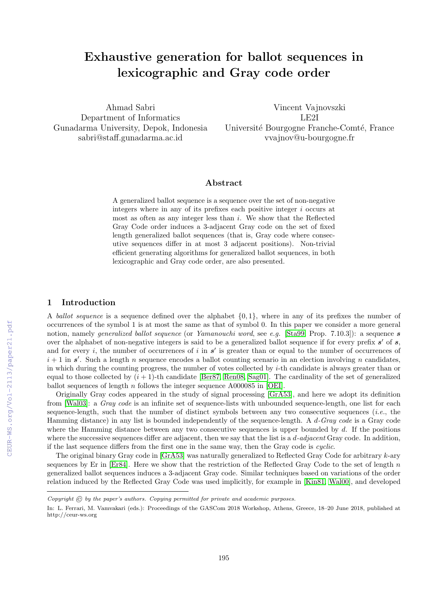# Exhaustive generation for ballot sequences in lexicographic and Gray code order

Ahmad Sabri Department of Informatics Gunadarma University, Depok, Indonesia sabri@staff.gunadarma.ac.id

Vincent Vajnovszki LE2I Université Bourgogne Franche-Comté, France vvajnov@u-bourgogne.fr

## Abstract

A generalized ballot sequence is a sequence over the set of non-negative integers where in any of its prefixes each positive integer i occurs at most as often as any integer less than  $i$ . We show that the Reflected Gray Code order induces a 3-adjacent Gray code on the set of fixed length generalized ballot sequences (that is, Gray code where consecutive sequences differ in at most 3 adjacent positions). Non-trivial efficient generating algorithms for generalized ballot sequences, in both lexicographic and Gray code order, are also presented.

## 1 Introduction

A ballot sequence is a sequence defined over the alphabet  $\{0, 1\}$ , where in any of its prefixes the number of occurrences of the symbol 1 is at most the same as that of symbol 0. In this paper we consider a more general notion, namely *generalized ballot sequence* (or *Yamanouchi word*, see e.g. [\[Sta99,](#page--1-0) Prop. 7.10.3]): a sequence **s** over the alphabet of non-negative integers is said to be a generalized ballot sequence if for every prefix  $s'$  of  $s$ , and for every i, the number of occurrences of i in  $s'$  is greater than or equal to the number of occurrences of  $i + 1$  in s'. Such a length n sequence encodes a ballot counting scenario in an election involving n candidates, in which during the counting progress, the number of votes collected by  $i$ -th candidate is always greater than or equal to those collected by  $(i + 1)$ -th candidate [\[Ber87,](#page--1-1) [Ren08,](#page--1-2) [Sag01\]](#page--1-3). The cardinality of the set of generalized ballot sequences of length  $n$  follows the integer sequence A000085 in [\[OEI\]](#page--1-4).

Originally Gray codes appeared in the study of signal processing [\[GrA53\]](#page--1-5), and here we adopt its definition from [\[Wal03\]](#page--1-6): a Gray code is an infinite set of sequence-lists with unbounded sequence-length, one list for each sequence-length, such that the number of distinct symbols between any two consecutive sequences (*i.e.*, the Hamming distance) in any list is bounded independently of the sequence-length. A d-Gray code is a Gray code where the Hamming distance between any two consecutive sequences is upper bounded by  $d$ . If the positions where the successive sequences differ are adjacent, then we say that the list is a *d-adjacent* Gray code. In addition, if the last sequence differs from the first one in the same way, then the Gray code is cyclic.

The original binary Gray code in [\[GrA53\]](#page--1-5) was naturally generalized to Reflected Gray Code for arbitrary k-ary sequences by Er in  $[Er84]$ . Here we show that the restriction of the Reflected Gray Code to the set of length n generalized ballot sequences induces a 3-adjacent Gray code. Similar techniques based on variations of the order relation induced by the Reflected Gray Code was used implicitly, for example in [\[Kin81,](#page--1-8) [Wal00\]](#page--1-9), and developed

Copyright  $\odot$  by the paper's authors. Copying permitted for private and academic purposes.

In: L. Ferrari, M. Vamvakari (eds.): Proceedings of the GASCom 2018 Workshop, Athens, Greece, 18–20 June 2018, published at http://ceur-ws.org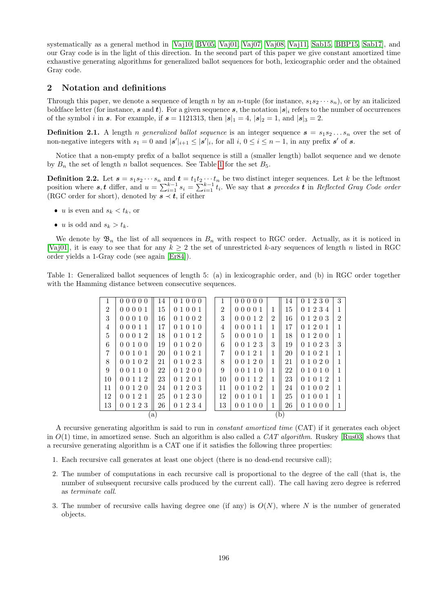systematically as a general method in [\[Vaj10,](#page-6-0) [BV05,](#page-5-0) [Vaj01,](#page-6-1) [Vaj07,](#page-6-2) [Vaj08,](#page-6-3) [Vaj11,](#page-6-4) [Sab15,](#page-5-1) [BBP15,](#page-5-2) [Sab17\]](#page-5-3), and our Gray code is in the light of this direction. In the second part of this paper we give constant amortized time exhaustive generating algorithms for generalized ballot sequences for both, lexicographic order and the obtained Gray code.

#### 2 Notation and definitions

Through this paper, we denote a sequence of length n by an n-tuple (for instance,  $s_1s_2\cdots s_n$ ), or by an italicized boldface letter (for instance, s and t). For a given sequence s, the notation  $|s|_i$  refers to the number of occurrences of the symbol *i* in *s*. For example, if  $s = 1121313$ , then  $|s|_1 = 4$ ,  $|s|_2 = 1$ , and  $|s|_3 = 2$ .

**Definition 2.1.** A length *n* generalized ballot sequence is an integer sequence  $s = s_1 s_2 \dots s_n$  over the set of non-negative integers with  $s_1 = 0$  and  $|\mathbf{s}'|_{i+1} \leq |\mathbf{s}'|_i$ , for all  $i, 0 \leq i \leq n-1$ , in any prefix  $\mathbf{s}'$  of  $\mathbf{s}$ .

Notice that a non-empty prefix of a ballot sequence is still a (smaller length) ballot sequence and we denote by  $B_n$  the set of length n ballot sequences. See Table [1](#page-1-0) for the set  $B_5$ .

<span id="page-1-1"></span>**Definition 2.2.** Let  $s = s_1 s_2 \cdots s_n$  and  $t = t_1 t_2 \cdots t_n$  be two distinct integer sequences. Let k be the leftmost position where  $s, t$  differ, and  $u = \sum_{i=1}^{k-1} s_i = \sum_{i=1}^{k-1} t_i$ . We say that s precedes  $t$  in Reflected Gray Code order (RGC order for short), denoted by  $s \prec t$ , if either

- *u* is even and  $s_k < t_k$ , or
- *u* is odd and  $s_k > t_k$ .

We denote by  $\mathfrak{B}_n$  the list of all sequences in  $B_n$  with respect to RGC order. Actually, as it is noticed in [\[Vaj01\]](#page-6-1), it is easy to see that for any  $k \geq 2$  the set of unrestricted k-ary sequences of length n listed in RGC order yields a 1-Gray code (see again [\[Er84\]](#page-5-4)).

<span id="page-1-0"></span>Table 1: Generalized ballot sequences of length 5: (a) in lexicographic order, and (b) in RGC order together with the Hamming distance between consecutive sequences.

| 1              | 00000     | 14 | 01000     |  | 1              | 00000     |                | 14 | 0 1 2 3 0 | 3              |
|----------------|-----------|----|-----------|--|----------------|-----------|----------------|----|-----------|----------------|
| $\mathfrak{D}$ | 00001     | 15 | 0 1 0 0 1 |  | $\overline{2}$ | 00001     |                | 15 | 0 1 2 3 4 | 1              |
| 3              | 00010     | 16 | 0 1 0 0 2 |  | 3              | 00012     | $\overline{2}$ | 16 | 0 1 2 0 3 | $\overline{2}$ |
| 4              | 00011     | 17 | 01010     |  | 4              | 00011     |                | 17 | 0 1 2 0 1 | 1              |
| $\overline{5}$ | 00012     | 18 | 0 1 0 1 2 |  | 5              | 00010     |                | 18 | 0 1 2 0 0 | 1              |
| 6              | 00100     | 19 | 0 1 0 2 0 |  | 6              | 0 0 1 2 3 | 3              | 19 | 0 1 0 2 3 | 3              |
| 7              | 00101     | 20 | 01021     |  | 7              | 0 0 1 2 1 |                | 20 | 0 1 0 2 1 | 1              |
| 8              | 00102     | 21 | 0 1 0 2 3 |  | 8              | 0 0 1 2 0 |                | 21 | 0 1 0 2 0 | 1              |
| 9              | 0 0 1 1 0 | 22 | 0 1 2 0 0 |  | 9              | 0 0 1 1 0 |                | 22 | 0 1 0 1 0 | 1              |
| 10             | 0 0 1 1 2 | 23 | 0 1 2 0 1 |  | 10             | 0 0 1 1 2 |                | 23 | 0 1 0 1 2 | 1              |
| 11             | 00120     | 24 | 0 1 2 0 3 |  | 11             | 00102     |                | 24 | 0 1 0 0 2 | 1              |
| 12             | 00121     | 25 | 0 1 2 3 0 |  | 12             | 00101     |                | 25 | 0 1 0 0 1 | 1              |
| 13             | 00123     | 26 | 0 1 2 3 4 |  | 13             | 00100     |                | 26 | 01000     |                |
| a)             |           |    |           |  | (b)            |           |                |    |           |                |

A recursive generating algorithm is said to run in constant amortized time (CAT) if it generates each object in  $O(1)$  time, in amortized sense. Such an algorithm is also called a  $CAT algorithm$ . Ruskey [\[Rus03\]](#page-5-5) shows that a recursive generating algorithm is a CAT one if it satisfies the following three properties:

- 1. Each recursive call generates at least one object (there is no dead-end recursive call);
- 2. The number of computations in each recursive call is proportional to the degree of the call (that is, the number of subsequent recursive calls produced by the current call). The call having zero degree is referred as terminate call.
- 3. The number of recursive calls having degree one (if any) is  $O(N)$ , where N is the number of generated objects.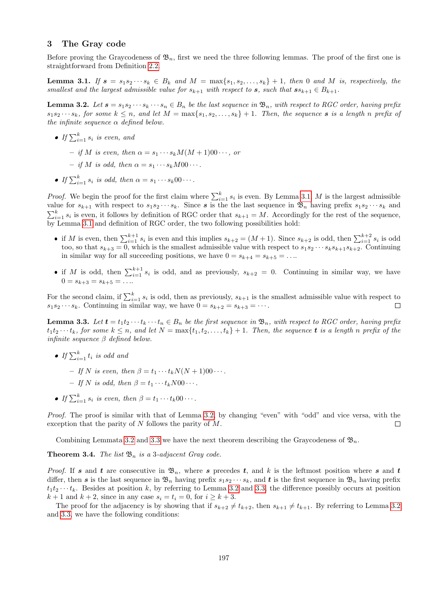## 3 The Gray code

Before proving the Graycodeness of  $\mathfrak{B}_n$ , first we need the three following lemmas. The proof of the first one is straightforward from Definition [2.2.](#page-1-1)

<span id="page-2-0"></span>**Lemma 3.1.** If  $s = s_1 s_2 \cdots s_k \in B_k$  and  $M = \max\{s_1, s_2, \ldots, s_k\} + 1$ , then 0 and M is, respectively, the smallest and the largest admissible value for  $s_{k+1}$  with respect to  $s$ , such that  $ss_{k+1} \in B_{k+1}$ .

<span id="page-2-1"></span>**Lemma 3.2.** Let  $s = s_1 s_2 \cdots s_k \cdots s_n \in B_n$  be the last sequence in  $\mathfrak{B}_n$ , with respect to RGC order, having prefix  $s_1s_2\cdots s_k$ , for some  $k\leq n$ , and let  $M = \max\{s_1, s_2, \ldots, s_k\} + 1$ . Then, the sequence s is a length n prefix of the infinite sequence  $\alpha$  defined below.

- If  $\sum_{i=1}^{k} s_i$  is even, and
	- if M is even, then  $\alpha = s_1 \cdots s_k M(M+1)00 \cdots$ , or
	- $-$  if M is odd, then  $\alpha = s_1 \cdots s_k M 0 0 \cdots$ .
- If  $\sum_{i=1}^{k} s_i$  is odd, then  $\alpha = s_1 \cdots s_k 00 \cdots$ .

*Proof.* We begin the proof for the first claim where  $\sum_{i=1}^{k} s_i$  is even. By Lemma [3.1,](#page-2-0) M is the largest admissible value for  $s_{k+1}$  with respect to  $s_1s_2\cdots s_k$ . Since s is the the last sequence in  $\mathfrak{B}_n$  having prefix  $s_1s_2\cdots s_k$  and  $\sum_{i=1}^{k} s_i$  is even, it follows by definition of RGC order that  $s_{k+1} = M$ . Accordingly for the rest of the sequence, by Lemma [3.1](#page-2-0) and definition of RGC order, the two following possibilities hold:

- if M is even, then  $\sum_{i=1}^{k+1} s_i$  is even and this implies  $s_{k+2} = (M+1)$ . Since  $s_{k+2}$  is odd, then  $\sum_{i=1}^{k+2} s_i$  is odd too, so that  $s_{k+3} = 0$ , which is the smallest admissible value with respect to  $s_1 s_2 \cdots s_k s_{k+1} s_{k+2}$ . Continuing in similar way for all succeeding positions, we have  $0 = s_{k+4} = s_{k+5} = \ldots$
- if M is odd, then  $\sum_{i=1}^{k+1} s_i$  is odd, and as previously,  $s_{k+2} = 0$ . Continuing in similar way, we have  $0 = s_{k+3} = s_{k+5} = \ldots$

For the second claim, if  $\sum_{i=1}^{k} s_i$  is odd, then as previously,  $s_{k+1}$  is the smallest admissible value with respect to  $s_1s_2\cdots s_k$ . Continuing in similar way, we have  $0 = s_{k+2} = s_{k+3} = \cdots$ .  $\Box$ 

<span id="page-2-2"></span>**Lemma 3.3.** Let  $t = t_1t_2 \cdots t_k \cdots t_n \in B_n$  be the first sequence in  $\mathfrak{B}_n$ , with respect to RGC order, having prefix  $t_1t_2 \cdots t_k$ , for some  $k \leq n$ , and let  $N = \max\{t_1, t_2, \ldots, t_k\} + 1$ . Then, the sequence **t** is a length n prefix of the infinite sequence  $\beta$  defined below.

- If  $\sum_{i=1}^k t_i$  is odd and
	- If N is even, then  $\beta = t_1 \cdots t_k N(N+1)00 \cdots$ .
	- If N is odd, then  $\beta = t_1 \cdots t_k N00 \cdots$ .
- If  $\sum_{i=1}^{k} s_i$  is even, then  $\beta = t_1 \cdots t_k 00 \cdots$ .

Proof. The proof is similar with that of Lemma [3.2,](#page-2-1) by changing "even" with "odd" and vice versa, with the exception that the parity of  $N$  follows the parity of  $M$ .  $\Box$ 

Combining Lemmata [3.2](#page-2-1) and [3.3](#page-2-2) we have the next theorem describing the Graycodeness of  $\mathfrak{B}_n$ .

**Theorem 3.4.** The list  $\mathfrak{B}_n$  is a 3-adjacent Gray code.

*Proof.* If s and t are consecutive in  $\mathfrak{B}_n$ , where s precedes t, and k is the leftmost position where s and t differ, then s is the last sequence in  $\mathfrak{B}_n$  having prefix  $s_1s_2\cdots s_k$ , and t is the first sequence in  $\mathfrak{B}_n$  having prefix  $t_1t_2 \cdots t_k$ . Besides at position k, by referring to Lemma [3.2](#page-2-1) and [3.3,](#page-2-2) the difference possibly occurs at position  $k+1$  and  $k+2$ , since in any case  $s_i = t_i = 0$ , for  $i \geq k+3$ .

The proof for the adjacency is by showing that if  $s_{k+2} \neq t_{k+2}$ , then  $s_{k+1} \neq t_{k+1}$ . By referring to Lemma [3.2](#page-2-1) and [3.3,](#page-2-2) we have the following conditions: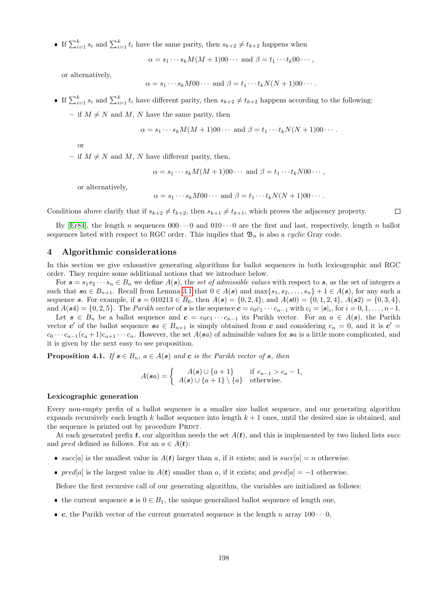If  $\sum_{i=1}^k s_i$  and  $\sum_{i=1}^k t_i$  have the same parity, then  $s_{k+2} \neq t_{k+2}$  happens when

 $\alpha = s_1 \cdots s_k M(M+1)00 \cdots$  and  $\beta = t_1 \cdots t_k 00 \cdots$ ,

or alternatively,

 $\alpha = s_1 \cdots s_k M 00 \cdots$  and  $\beta = t_1 \cdots t_k N(N+1) 00 \cdots$ .

If  $\sum_{i=1}^k s_i$  and  $\sum_{i=1}^k t_i$  have different parity, then  $s_{k+2} \neq t_{k+2}$  happens according to the following:

– if  $M \neq N$  and M, N have the same parity, then

$$
\alpha = s_1 \cdots s_k M(M+1)00 \cdots \text{ and } \beta = t_1 \cdots t_k N(N+1)00 \cdots.
$$

or

– if  $M \neq N$  and M, N have different parity, then,

 $\alpha = s_1 \cdots s_k M(M+1)00 \cdots$  and  $\beta = t_1 \cdots t_k N00 \cdots$ ,

or alternatively,

$$
\alpha = s_1 \cdots s_k M 00 \cdots
$$
 and  $\beta = t_1 \cdots t_k N (N + 1) 00 \cdots$ .

Conditions above clarify that if  $s_{k+2} \neq t_{k+2}$ , then  $s_{k+1} \neq t_{k+1}$ , which proves the adjacency property.  $\Box$ 

By [\[Er84\]](#page-5-4), the length n sequences  $000 \cdots 0$  and  $010 \cdots 0$  are the first and last, respectively, length n ballot sequences listed with respect to RGC order. This implies that  $\mathfrak{B}_n$  is also a *cyclic* Gray code.

## 4 Algorithmic considerations

In this section we give exhaustive generating algorithms for ballot sequences in both lexicographic and RGC order. They require some additional notions that we introduce below.

For  $s = s_1 s_2 \cdots s_n \in B_n$  we define  $A(s)$ , the set of admissible values with respect to s, as the set of integers a such that  $sa \in B_{n+1}$ . Recall from Lemma [3.1](#page-2-0) that  $0 \in A(s)$  and  $\max\{s_1, s_2, \ldots, s_n\} + 1 \in A(s)$ , for any such a sequence s. For example, if  $s = 010213 \in B_6$ , then  $A(s) = \{0, 2, 4\}$ ; and  $A(s0) = \{0, 1, 2, 4\}$ ,  $A(s2) = \{0, 3, 4\}$ , and  $A(s4) = \{0, 2, 5\}$ . The *Parikh vector* of s is the sequence  $c = c_0 c_1 \cdots c_{n-1}$  with  $c_i = |s|_i$ , for  $i = 0, 1, \ldots, n-1$ .

Let  $s \in B_n$  be a ballot sequence and  $c = c_0c_1 \cdots c_{n-1}$  its Parikh vector. For an  $a \in A(s)$ , the Parikh vector c' of the ballot sequence  $sa \in B_{n+1}$  is simply obtained from c and considering  $c_n = 0$ , and it is  $c' =$  $c_0 \cdots c_{a-1}(c_a+1)c_{a+1} \cdots c_n$ . However, the set  $A(sa)$  of admissible values for sa is a little more complicated, and it is given by the next easy to see proposition.

**Proposition 4.1.** If  $s \in B_n$ ,  $a \in A(s)$  and c is the Parikh vector of s, then

$$
A(\boldsymbol{s}a) = \begin{cases} A(\boldsymbol{s}) \cup \{a+1\} & \text{if } c_{a-1} > c_a - 1, \\ A(\boldsymbol{s}) \cup \{a+1\} \setminus \{a\} & \text{otherwise.} \end{cases}
$$

#### Lexicographic generation

Every non-empty prefix of a ballot sequence is a smaller size ballot sequence, and our generating algorithm expands recursively each length k ballot sequence into length  $k + 1$  ones, until the desired size is obtained, and the sequence is printed out by procedure PRINT.

At each generated prefix t, our algorithm needs the set  $A(t)$ , and this is implemented by two linked lists succes and *pred* defined as follows. For an  $a \in A(t)$ :

- succ[a] is the smallest value in  $A(t)$  larger than a, if it exists; and is succ[a] = n otherwise.
- $pred[a]$  is the largest value in  $A(t)$  smaller than a, if it exists; and  $pred[a] = -1$  otherwise.

Before the first recursive call of our generating algorithm, the variables are initialized as follows:

- the current sequence  $s$  is  $0 \in B_1$ , the unique generalized ballot sequence of length one,
- c, the Parikh vector of the current generated sequence is the length n array  $100 \cdots 0$ ,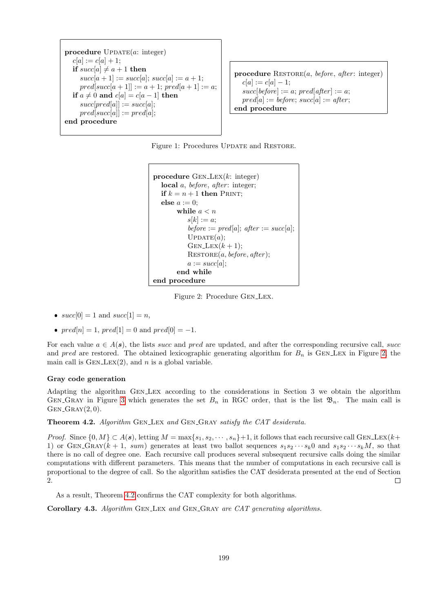```
procedure UPDATE(a: integer)c[a] := c[a] + 1;if succ[a] \neq a + 1 then
     succ[a + 1] := succ[a]; succ[a] := a + 1;pred[succ[a + 1]] := a + 1; pred[a + 1] := a;if a \neq 0 and c[a] = c[a-1] then
     succ[pred[a]] := succ[a];pred[succ[a]] := pred[a];end procedure
```
procedure  $\text{ResTORE}(a, \text{before}, \text{after: integer})$  $c[a] := c[a] - 1;$  $succ[before] := a; pred[after] := a;$  $pred[a] := before; succ[a] := after;$ end procedure

Figure 1: Procedures UPDATE and RESTORE.

```
procedure GENLEX(k:integer)local a, before, after: integer;
  if k = n + 1 then PRINT;
  else a := 0;
      while a < ns[k] := a;
         before := pred[a]; after := succ[a];
         UPDATE(a);GEN\text{ }LEX(k+1);
         a := succ[a];end while
end procedure
```
<span id="page-4-0"></span>Figure 2: Procedure Gen Lex.

- $succ[0] = 1$  and  $succ[1] = n$ ,
- $pred[n] = 1, pred[1] = 0$  and  $pred[0] = -1$ .

For each value  $a \in A(s)$ , the lists succ and pred are updated, and after the corresponding recursive call, successive call, and pred are restored. The obtained lexicographic generating algorithm for  $B_n$  is GEN LEX in Figure [2,](#page-4-0) the main call is  $GEN_LEX(2)$ , and n is a global variable.

#### Gray code generation

Adapting the algorithm Gen Lex according to the considerations in Section 3 we obtain the algorithm GEN GRAY in Figure [3](#page-5-6) which generates the set  $B_n$  in RGC order, that is the list  $\mathfrak{B}_n$ . The main call is  $GEN_GRAY(2,0).$ 

<span id="page-4-1"></span>Theorem 4.2. Algorithm GEN\_LEX and GEN\_GRAY satisfy the CAT desiderata.

*Proof.* Since  $\{0, M\} \subset A(\mathbf{s})$ , letting  $M = \max\{s_1, s_2, \cdots, s_n\} + 1$ , it follows that each recursive call GEN\_LEX( $k+$ 1) or GEN\_GRAY(k + 1, sum) generates at least two ballot sequences  $s_1s_2\cdots s_k0$  and  $s_1s_2\cdots s_kM$ , so that there is no call of degree one. Each recursive call produces several subsequent recursive calls doing the similar computations with different parameters. This means that the number of computations in each recursive call is proportional to the degree of call. So the algorithm satisfies the CAT desiderata presented at the end of Section 2.  $\Box$ 

As a result, Theorem [4.2](#page-4-1) confirms the CAT complexity for both algorithms.

Corollary 4.3. Algorithm GEN\_LEX and GEN\_GRAY are CAT generating algorithms.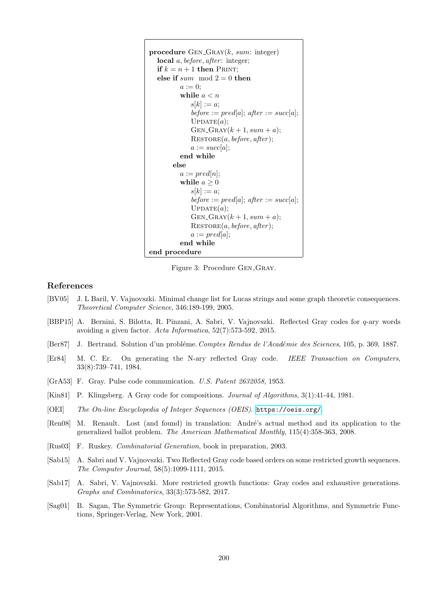```
procedure GEN_GRAY(k, sum: integer)local a, before, after: integer;if k = n + 1 then PRINT;
  else if sum mod 2 = 0 then
        a := 0;while a < ns[k] := a;before := pred[a]; after := succ[a];
           UPDATE(a);GEN_GRAY(k + 1, sum + a);
           a := succ[a];end while
      else
        a := pred[n];while a \geq 0s[k] := a;before := pred[a]; after := succ[a];
           UPDATE(a);GEN_GRAY(k + 1, sum + a);
           a := pred[a];end while
end procedure
```
<span id="page-5-6"></span>Figure 3: Procedure GEN\_GRAY.

## References

- <span id="page-5-0"></span>[BV05] J. L Baril, V. Vajnovszki. Minimal change list for Lucas strings and some graph theoretic consequences. Theoretical Computer Science, 346:189-199, 2005.
- <span id="page-5-2"></span>[BBP15] A. Bernini, S. Bilotta, R. Pinzani, A. Sabri, V. Vajnovszki. Reflected Gray codes for q-ary words avoiding a given factor. Acta Informatica, 52(7):573-592, 2015.
- [Ber87] J. Bertrand. Solution d'un problème. Comptes Rendus de l'Académie des Sciences, 105, p. 369, 1887.
- <span id="page-5-4"></span>[Er84] M. C. Er. On generating the N-ary reflected Gray code. IEEE Transaction on Computers, 33(8):739–741, 1984.
- [GrA53] F. Gray. Pulse code communication. U.S. Patent 2632058, 1953.
- [Kin81] P. Klingsberg. A Gray code for compositions. Journal of Algorithms, 3(1):41-44, 1981.
- [OEI] The On-line Encyclopedia of Integer Sequences (OEIS). <https://oeis.org/>.
- [Ren08] M. Renault. Lost (and found) in translation: André's actual method and its application to the generalized ballot problem. The American Mathematical Monthly, 115(4):358-363, 2008.
- <span id="page-5-5"></span>[Rus03] F. Ruskey. Combinatorial Generation, book in preparation, 2003.
- <span id="page-5-1"></span>[Sab15] A. Sabri and V. Vajnovszki. Two Reflected Gray code based orders on some restricted growth sequences. The Computer Journal, 58(5):1099-1111, 2015.
- <span id="page-5-3"></span>[Sab17] A. Sabri, V. Vajnovszki. More restricted growth functions: Gray codes and exhaustive generations. Graphs and Combinatorics, 33(3):573-582, 2017.
- [Sag01] B. Sagan, The Symmetric Group: Representations, Combinatorial Algorithms, and Symmetric Functions, Springer-Verlag, New York, 2001.